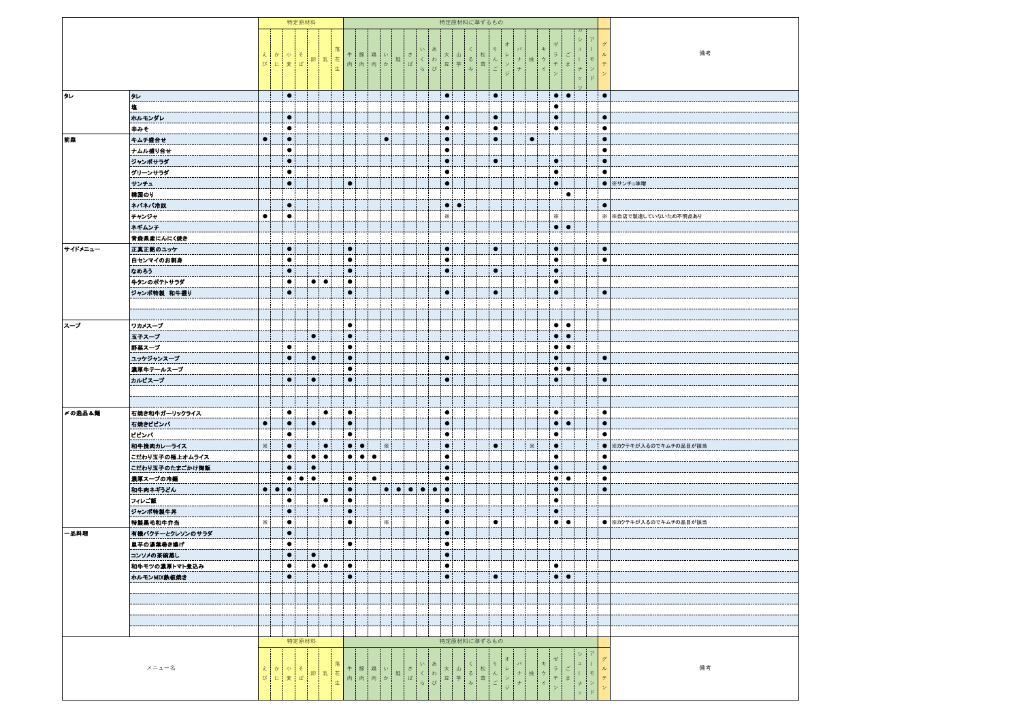|         |                 |              |                  |                         | 特定原材料 |                                |                 |           |                                               |           |           | 特定原材料に準ずるもの           |                      |         |                                                                                                                                               |                   |                                            |                           |    |                                            |           |                                  |                                                 |                                             |                                           |                                                                                                                                                                                                                                          |                                                     |                        |
|---------|-----------------|--------------|------------------|-------------------------|-------|--------------------------------|-----------------|-----------|-----------------------------------------------|-----------|-----------|-----------------------|----------------------|---------|-----------------------------------------------------------------------------------------------------------------------------------------------|-------------------|--------------------------------------------|---------------------------|----|--------------------------------------------|-----------|----------------------------------|-------------------------------------------------|---------------------------------------------|-------------------------------------------|------------------------------------------------------------------------------------------------------------------------------------------------------------------------------------------------------------------------------------------|-----------------------------------------------------|------------------------|
|         |                 | えか小そ<br>びに麦ば |                  |                         |       | 卵乳                             | 落<br>花<br>$\pm$ |           | 牛豚鶏い<br>牛 豚 鶏 い 鮭 ざ<br>肉 肉 肉 か <sup>鮭</sup> ば |           |           | $\breve{\varepsilon}$ | $\langle$<br>ら       | あ<br>わび | 大<br>$\overline{\Xi}$                                                                                                                         | 山<br>$\ddot{\mp}$ | $\begin{array}{c} 3 \\ 3 \\ 4 \end{array}$ | IJ<br>松茸<br>$\frac{k}{z}$ | ンジ | $\,$ $\,$<br>$\,$ + $\,$                   | 桃         | キ<br>$\dot{\gamma}$<br>$\bar{4}$ | $\overline{z}$<br>$\neq$<br>$\bar{\mathcal{D}}$ | $\boldsymbol{\vec{z}}$<br>$\ddagger$        | $\mathfrak{a}$<br>$\bar{1}$<br>$^{\rm +}$ | $\mp$<br>$\bar{\mathcal{D}}$                                                                                                                                                                                                             | $\overline{\nu}$<br>$\bar{\tau}$<br>$\bar{\bar{z}}$ | 備考                     |
|         |                 |              |                  |                         |       |                                |                 |           |                                               |           |           |                       |                      |         |                                                                                                                                               |                   |                                            |                           |    |                                            |           |                                  |                                                 |                                             | $\dot{\mathcal{I}}$                       | $\mathbf{F}^{\prime}$                                                                                                                                                                                                                    |                                                     |                        |
| タレ      | タレ              |              |                  | $\bullet$               |       |                                |                 |           |                                               |           |           |                       |                      |         | $\bullet$                                                                                                                                     |                   |                                            | $\bullet$                 |    |                                            |           |                                  | $\bullet$                                       | $\bullet$                                   |                                           |                                                                                                                                                                                                                                          | $\bullet$                                           |                        |
|         | 塩               |              |                  |                         |       |                                |                 |           |                                               |           |           |                       |                      |         |                                                                                                                                               |                   |                                            |                           |    |                                            |           |                                  | $\bullet$                                       |                                             |                                           |                                                                                                                                                                                                                                          |                                                     |                        |
|         | ホルモンダレ          |              |                  | $\bullet$               |       |                                |                 |           |                                               |           |           |                       |                      |         | $\bullet$                                                                                                                                     |                   |                                            | $\bullet$                 |    |                                            |           |                                  | $\bullet$                                       |                                             |                                           |                                                                                                                                                                                                                                          | $\bullet$                                           |                        |
|         | 辛みそ             |              |                  | $\bullet$               |       |                                |                 |           |                                               |           |           |                       |                      |         | $\bullet$                                                                                                                                     |                   |                                            | $\bullet$                 |    |                                            |           |                                  | $\bullet$                                       |                                             |                                           |                                                                                                                                                                                                                                          | $\bullet$                                           |                        |
| 前業      | キムチ盛合せ          | $\bullet$    |                  | $\bullet$               |       |                                |                 |           |                                               |           | $\bullet$ |                       |                      |         | $\bullet$                                                                                                                                     |                   |                                            | $\bullet$                 |    |                                            | $\bullet$ |                                  |                                                 |                                             |                                           |                                                                                                                                                                                                                                          | $\bullet$                                           |                        |
|         | ナムル盛り合せ         |              |                  | $\bullet$               |       |                                |                 |           |                                               |           |           |                       |                      |         | $\bullet$                                                                                                                                     |                   |                                            |                           |    |                                            |           |                                  |                                                 |                                             |                                           |                                                                                                                                                                                                                                          | $\bullet$                                           |                        |
|         | ジャンボサラダ         |              |                  | $\bullet$               |       |                                |                 |           |                                               |           |           |                       |                      |         | $\bullet$                                                                                                                                     |                   |                                            | $\bullet$                 |    |                                            |           |                                  | $\bullet$                                       |                                             |                                           |                                                                                                                                                                                                                                          | $\bullet$                                           |                        |
|         | グリーンサラダ         |              |                  | $\bullet$               |       |                                |                 |           |                                               |           |           |                       |                      |         | $\bullet$                                                                                                                                     |                   |                                            |                           |    |                                            |           |                                  | $\bullet$                                       |                                             |                                           |                                                                                                                                                                                                                                          | $\bullet$                                           |                        |
|         | サンチュ            |              |                  | $\bullet$               |       |                                |                 | $\bullet$ |                                               |           |           |                       |                      |         | $\bullet$                                                                                                                                     |                   |                                            |                           |    |                                            |           |                                  | $\bullet$                                       |                                             |                                           |                                                                                                                                                                                                                                          |                                                     | ● ※サンチュ味噌              |
|         | 織国のり            |              |                  |                         |       |                                |                 |           |                                               |           |           |                       |                      |         |                                                                                                                                               |                   |                                            |                           |    |                                            |           |                                  |                                                 | $\bullet$                                   |                                           |                                                                                                                                                                                                                                          |                                                     |                        |
|         | ネバネバ冷奴          |              |                  | $\bullet$               |       |                                |                 |           |                                               |           |           |                       |                      |         | $\bullet$                                                                                                                                     | $\bullet$         |                                            |                           |    |                                            |           |                                  |                                                 |                                             |                                           |                                                                                                                                                                                                                                          | $\bullet$                                           |                        |
|         | チャンジャ           | $\bullet$    |                  | $\bullet$               |       |                                |                 |           |                                               |           |           |                       |                      |         | $\times$                                                                                                                                      |                   |                                            |                           |    |                                            |           |                                  | $\times$                                        |                                             |                                           |                                                                                                                                                                                                                                          |                                                     | - ※ ※自店で製造していないため不明点あり |
|         | ネギムンチ           |              |                  |                         |       |                                |                 |           |                                               |           |           |                       |                      |         |                                                                                                                                               |                   |                                            |                           |    |                                            |           |                                  |                                                 | $\bullet\bullet$                            |                                           |                                                                                                                                                                                                                                          |                                                     |                        |
|         | 青森県産にんにく焼き      |              |                  |                         |       |                                |                 |           |                                               |           |           |                       |                      |         |                                                                                                                                               |                   |                                            |                           |    |                                            |           |                                  |                                                 |                                             |                                           |                                                                                                                                                                                                                                          |                                                     |                        |
| サイドメニュー | 正真正銘のユッケ        |              |                  | $\bullet$               |       |                                |                 | $\bullet$ |                                               |           |           |                       |                      |         | $\bullet$                                                                                                                                     |                   |                                            | $\bullet$                 |    |                                            |           |                                  | $\bullet$                                       |                                             |                                           |                                                                                                                                                                                                                                          | $\bullet$                                           |                        |
|         | 白センマイのお刺身       |              |                  | $\bullet$               |       |                                |                 | $\bullet$ |                                               |           |           |                       |                      |         | $\bullet$                                                                                                                                     |                   |                                            |                           |    |                                            |           |                                  | $\bullet$                                       |                                             |                                           |                                                                                                                                                                                                                                          | $\bullet$                                           |                        |
|         | なめろう            |              |                  | $\bullet$               |       |                                |                 | $\bullet$ |                                               |           |           |                       |                      |         | $\bullet$                                                                                                                                     |                   |                                            | $\bullet$                 |    |                                            |           |                                  | $\bullet$                                       |                                             |                                           |                                                                                                                                                                                                                                          |                                                     |                        |
|         | 牛タンのポテトサラダ      |              |                  | $\bullet$               |       | $\bullet\bullet$               |                 | $\bullet$ |                                               |           |           |                       |                      |         |                                                                                                                                               |                   |                                            |                           |    |                                            |           |                                  | ٠                                               |                                             |                                           |                                                                                                                                                                                                                                          |                                                     |                        |
|         | ジャンボ特製 和牛握り     |              |                  | $\bullet$               |       |                                |                 | $\bullet$ |                                               |           |           |                       |                      |         | $\bullet$                                                                                                                                     |                   |                                            | $\bullet$                 |    |                                            |           |                                  | $\bullet$                                       |                                             |                                           |                                                                                                                                                                                                                                          | $\bullet$                                           |                        |
|         |                 |              |                  |                         |       |                                |                 |           |                                               |           |           |                       |                      |         |                                                                                                                                               |                   |                                            |                           |    |                                            |           |                                  |                                                 |                                             |                                           |                                                                                                                                                                                                                                          |                                                     |                        |
|         |                 |              |                  |                         |       |                                |                 |           |                                               |           |           |                       |                      |         |                                                                                                                                               |                   |                                            |                           |    |                                            |           |                                  |                                                 |                                             |                                           |                                                                                                                                                                                                                                          |                                                     |                        |
| スープ     | ワカメスープ          |              |                  |                         |       |                                |                 | $\bullet$ |                                               |           |           |                       |                      |         |                                                                                                                                               |                   |                                            |                           |    |                                            |           |                                  |                                                 |                                             |                                           |                                                                                                                                                                                                                                          |                                                     |                        |
|         |                 |              |                  |                         |       |                                |                 | $\bullet$ |                                               |           |           |                       |                      |         |                                                                                                                                               |                   |                                            |                           |    |                                            |           |                                  |                                                 | $\bullet$   $\bullet$<br>$\bullet\bullet$   |                                           |                                                                                                                                                                                                                                          |                                                     |                        |
|         | 玉子スープ           |              |                  |                         |       | $\bullet$                      |                 |           |                                               |           |           |                       |                      |         |                                                                                                                                               |                   |                                            |                           |    |                                            |           |                                  |                                                 |                                             |                                           |                                                                                                                                                                                                                                          |                                                     |                        |
|         | 野菓スープ           |              |                  | $\bullet$               |       |                                |                 | $\bullet$ |                                               |           |           |                       |                      |         |                                                                                                                                               |                   |                                            |                           |    |                                            |           |                                  |                                                 | $\bullet\bullet$                            |                                           |                                                                                                                                                                                                                                          |                                                     |                        |
|         | ユッケジャンスープ       |              |                  | $\bullet$               |       | $\bullet$                      |                 | $\bullet$ |                                               |           |           |                       |                      |         | $\bullet$                                                                                                                                     |                   |                                            |                           |    |                                            |           |                                  | $\bullet$                                       |                                             |                                           |                                                                                                                                                                                                                                          | $\bullet$                                           |                        |
|         | 表厚牛テールスープ       |              |                  |                         |       |                                |                 | $\bullet$ |                                               |           |           |                       |                      |         |                                                                                                                                               |                   |                                            |                           |    |                                            |           |                                  |                                                 | $\bullet\bullet$                            |                                           |                                                                                                                                                                                                                                          |                                                     |                        |
|         | カルビスープ          |              |                  | $\bullet$               |       | $\bullet$                      |                 | $\bullet$ |                                               |           |           |                       |                      |         | $\bullet$                                                                                                                                     |                   |                                            |                           |    |                                            |           |                                  | $\bullet$                                       |                                             |                                           |                                                                                                                                                                                                                                          | $\bullet$                                           |                        |
|         |                 |              |                  |                         |       |                                |                 |           |                                               |           |           |                       |                      |         |                                                                                                                                               |                   |                                            |                           |    |                                            |           |                                  |                                                 |                                             |                                           |                                                                                                                                                                                                                                          |                                                     |                        |
|         |                 |              |                  |                         |       |                                |                 |           |                                               |           |           |                       |                      |         |                                                                                                                                               |                   |                                            |                           |    |                                            |           |                                  |                                                 |                                             |                                           |                                                                                                                                                                                                                                          |                                                     |                        |
| 〆の逸品&麺  | 石焼き和牛ガーリックライス   |              |                  | $\bullet$               |       | $\bullet$                      |                 | $\bullet$ |                                               |           |           |                       |                      |         | $\bullet$                                                                                                                                     |                   |                                            |                           |    |                                            |           |                                  | $\bullet$                                       |                                             |                                           |                                                                                                                                                                                                                                          | $\bullet$                                           |                        |
|         | 石焼きビビンバ         | $\bullet$    |                  | $\bullet$               |       | $\bullet$                      |                 | $\bullet$ |                                               |           |           |                       |                      |         | $\bullet$                                                                                                                                     |                   |                                            |                           |    |                                            |           |                                  | $\bullet$                                       | $\bullet$                                   |                                           |                                                                                                                                                                                                                                          | $\bullet$                                           |                        |
|         | ビビンバ            |              |                  | $\bullet$               |       |                                |                 | $\bullet$ |                                               |           |           |                       |                      |         | $\bullet$                                                                                                                                     |                   |                                            |                           |    |                                            |           |                                  | $\bullet$                                       |                                             |                                           |                                                                                                                                                                                                                                          | $\bullet$                                           |                        |
|         | 和牛挽肉カレーライス      | ×            |                  | $\bullet$               |       | $\bullet$                      |                 | $\bullet$ | $\bullet$                                     |           | $\times$  |                       |                      |         | $\bullet$                                                                                                                                     |                   |                                            | $\bullet$                 |    |                                            | $\times$  |                                  | $\bullet$                                       |                                             |                                           |                                                                                                                                                                                                                                          |                                                     | ● ※カクテキが入るのでキムチの品目が該当  |
|         | こだわり玉子の極上オムライス  |              |                  | $\bullet$               |       | $\bullet$<br>$\bullet$         |                 |           | $\bullet\bullet\bullet$                       |           |           |                       |                      |         | $\bullet$                                                                                                                                     |                   |                                            |                           |    |                                            |           |                                  | $\bullet$                                       |                                             |                                           |                                                                                                                                                                                                                                          | $\bullet$                                           |                        |
|         | こだわり玉子のたまごかけ御飯  |              |                  | $\bullet$               |       | $\bullet$                      |                 |           |                                               |           |           |                       |                      |         | $\bullet$                                                                                                                                     |                   |                                            |                           |    |                                            |           |                                  | $\bullet$                                       |                                             |                                           |                                                                                                                                                                                                                                          | $\bullet$                                           |                        |
|         | 濃厚スープの冷麺        |              |                  | $\bullet\bullet\bullet$ |       | $\bullet$                      |                 | $\bullet$ |                                               | $\bullet$ |           |                       |                      |         | $\bullet$                                                                                                                                     |                   |                                            |                           |    |                                            |           |                                  |                                                 | $\bullet\bullet$                            |                                           |                                                                                                                                                                                                                                          | $\bullet$                                           |                        |
|         | 和牛肉ネギうどん        | $\bullet$    | $\bullet\bullet$ |                         |       |                                |                 | $\bullet$ |                                               |           |           |                       |                      |         | $\bullet$                                                                                                                                     |                   |                                            |                           |    |                                            |           |                                  | $\bullet$                                       |                                             |                                           |                                                                                                                                                                                                                                          | $\bullet$                                           |                        |
|         | フィレご飯           |              |                  | $\bullet$               |       | $\bullet$                      |                 | $\bullet$ |                                               |           |           |                       |                      |         | $\bullet$                                                                                                                                     |                   |                                            |                           |    |                                            |           |                                  | $\bullet$                                       |                                             |                                           |                                                                                                                                                                                                                                          |                                                     |                        |
|         | ジャンポ特製牛丼        |              |                  | $\bullet$               |       |                                |                 | $\bullet$ |                                               |           |           |                       |                      |         | $\bullet$                                                                                                                                     |                   |                                            |                           |    |                                            |           |                                  | $\bullet$                                       |                                             |                                           |                                                                                                                                                                                                                                          |                                                     |                        |
|         | 特製黑毛和牛弁当        | ×.           |                  | $\bullet$               |       |                                |                 | $\bullet$ |                                               |           | $\times$  |                       |                      |         | $\bullet$                                                                                                                                     |                   |                                            | $\bullet$                 |    |                                            |           |                                  |                                                 | $\bullet\bullet$                            |                                           |                                                                                                                                                                                                                                          |                                                     | ● ※カクテキが入るのでキムチの品目が該当  |
| - 品料理   | 有機パクチーとクレソンのサラダ |              |                  | $\bullet$               |       |                                |                 |           |                                               |           |           |                       |                      |         | $\bullet$                                                                                                                                     |                   |                                            |                           |    |                                            |           |                                  |                                                 |                                             |                                           |                                                                                                                                                                                                                                          |                                                     |                        |
|         | 里芋の湯葉巻き揚げ       |              |                  | $\bullet$               |       |                                |                 | $\bullet$ |                                               |           |           |                       |                      |         | $\bullet$                                                                                                                                     |                   |                                            |                           |    |                                            |           |                                  |                                                 |                                             |                                           |                                                                                                                                                                                                                                          |                                                     |                        |
|         | コンソメの茶碗蒸し       |              |                  | $\bullet$               |       | $\bullet$                      |                 |           |                                               |           |           |                       |                      |         | $\bullet$                                                                                                                                     |                   |                                            |                           |    |                                            |           |                                  |                                                 |                                             |                                           |                                                                                                                                                                                                                                          |                                                     |                        |
|         | 和牛モツの濃厚トマト煮込み   |              |                  | $\bullet$               |       | $\bullet\bullet$               |                 | $\bullet$ |                                               |           |           |                       |                      |         | $\bullet$                                                                                                                                     |                   |                                            |                           |    |                                            |           |                                  | $\bullet$                                       |                                             |                                           |                                                                                                                                                                                                                                          |                                                     |                        |
|         | ホルモンMIX鉄板焼き     |              |                  | $\bullet$               |       |                                |                 | $\bullet$ |                                               |           |           |                       |                      |         | $\bullet$                                                                                                                                     |                   |                                            | $\bullet$                 |    |                                            |           |                                  | $\bullet$                                       | $\bullet$                                   |                                           |                                                                                                                                                                                                                                          |                                                     |                        |
|         |                 |              |                  |                         |       |                                |                 |           |                                               |           |           |                       |                      |         |                                                                                                                                               |                   |                                            |                           |    |                                            |           |                                  |                                                 |                                             |                                           |                                                                                                                                                                                                                                          |                                                     |                        |
|         |                 |              |                  |                         |       |                                |                 |           |                                               |           |           |                       |                      |         |                                                                                                                                               |                   |                                            |                           |    |                                            |           |                                  |                                                 |                                             |                                           |                                                                                                                                                                                                                                          |                                                     |                        |
|         |                 |              |                  |                         |       |                                |                 |           |                                               |           |           |                       |                      |         |                                                                                                                                               |                   |                                            |                           |    |                                            |           |                                  |                                                 |                                             |                                           |                                                                                                                                                                                                                                          |                                                     |                        |
|         |                 |              |                  |                         |       |                                |                 |           |                                               |           |           |                       |                      |         |                                                                                                                                               |                   |                                            |                           |    |                                            |           |                                  |                                                 |                                             |                                           |                                                                                                                                                                                                                                          |                                                     |                        |
|         |                 |              |                  |                         |       |                                |                 |           |                                               |           |           |                       |                      |         |                                                                                                                                               |                   |                                            |                           |    |                                            |           |                                  |                                                 |                                             |                                           |                                                                                                                                                                                                                                          |                                                     |                        |
|         |                 |              |                  | 特定原材料                   |       |                                |                 |           |                                               |           |           |                       |                      |         |                                                                                                                                               |                   |                                            | 特定原材料に準ずるもの               |    |                                            |           |                                  |                                                 |                                             |                                           |                                                                                                                                                                                                                                          |                                                     |                        |
|         | $x = 1 - 2$     | えか小そ<br>びに麦ぱ |                  |                         |       | 卵<br>$\overline{\mathfrak{P}}$ | 落花生             |           |                                               |           |           |                       | 牛豚鶏い 鮭 ざくわび あめか しょうび |         | $\begin{array}{c c c c} \star & \mathbf{u} & \mathbf{w} & \mathbf{w} \\ \hline \mathbf{w} & \mathbf{w} & \mathbf{w} & \mathbf{w} \end{array}$ |                   |                                            | く 松 り レ ノ<br>る 黄 と ン ジ    | 才  | バ<br>$\begin{array}{c} + \\ + \end{array}$ | 桃         | キウイ                              | ゼ<br>ラチン                                        | $\begin{array}{c} z \\ \neq \\ \end{array}$ | シ                                         | $\begin{array}{c c c c} \texttt{a} & \texttt{l} & \texttt{t} \\ \texttt{l} & \texttt{t} & \texttt{t} & \texttt{t} \\ \texttt{t} & \texttt{t} & \texttt{t} & \texttt{t} \\ \texttt{v} & \texttt{t} & \texttt{t} & \texttt{t} \end{array}$ | グ<br>ルテン                                            | 備考                     |
|         |                 |              |                  |                         |       |                                |                 |           |                                               |           |           |                       |                      |         |                                                                                                                                               |                   |                                            |                           |    |                                            |           |                                  |                                                 |                                             |                                           |                                                                                                                                                                                                                                          |                                                     |                        |